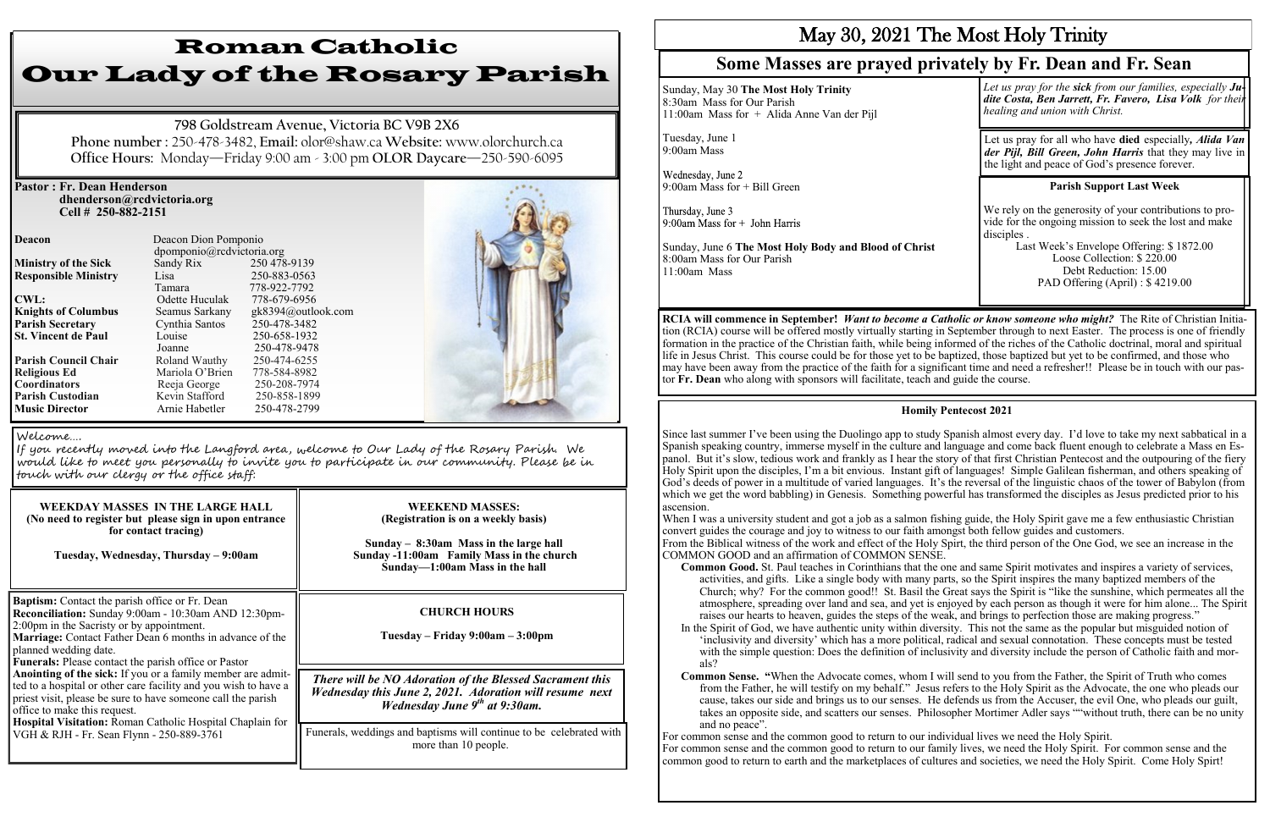### **Pastor : Fr. Dean Henderson dhenderson@rcdvictoria.org Cell # 250-882-2151**

**Responsible Ministry** Lisa **CWL:** Odette Huculak **St. Vincent de Paul** 

**Deacon Deacon Dion Pomponio**  dpomponio@rcdvictoria.org **Ministry of the Sick** Sandy Rix 250 478-9139<br> **Responsible Ministry** Lisa 250-883-0563 Tamara 778-922-7792<br>Odette Huculak 778-679-6956 **Knights of Columbus** Seamus Sarkany gk8394@outlook.com **Parish Secretary** Cynthia Santos 250-478-3482<br> **St. Vincent de Paul** Louise 250-658-1932 Joanne 250-478-9478<br>Roland Wauthy 250-474-6255 **Parish Council Chair Roland Wauthy 250-474-6255**<br> **Religious Ed Mariola O'Brien** 778-584-8982 **Religious Ed Mariola O'Brien 778-584-8982<br>
<b>Coordinators** Reeja George 250-208-7974 **Reeja George** 250-208-7974<br> **Kevin Stafford** 250-858-1899 **Music Director Arnie Habetler** 250-478-2799



# Roman Catholic Our Lady of the Rosary Parish

**798 Goldstream Avenue, Victoria BC V9B 2X6 Phone number :** 250-478-3482, **Email:** olor@shaw.ca **Website:** www.olorchurch.ca **Office Hours:** Monday—Friday 9:00 am - 3:00 pm **OLOR Daycare**—250-590-6095

| <b>WEEKDAY MASSES IN THE LARGE HALL</b><br>(No need to register but please sign in upon entrance<br>for contact tracing)<br>Tuesday, Wednesday, Thursday - 9:00am                                                                                                                                                                                                                                                                                                                                                                                                                                                                                   | <b>WEEKEND MASSES:</b><br>(Registration is on a weekly basis)<br>Sunday $-$ 8:30am Mass in the large hall<br>Sunday -11:00am Family Mass in the church<br>Sunday-1:00am Mass in the hall |
|-----------------------------------------------------------------------------------------------------------------------------------------------------------------------------------------------------------------------------------------------------------------------------------------------------------------------------------------------------------------------------------------------------------------------------------------------------------------------------------------------------------------------------------------------------------------------------------------------------------------------------------------------------|------------------------------------------------------------------------------------------------------------------------------------------------------------------------------------------|
| <b>Baptism:</b> Contact the parish office or Fr. Dean<br>Reconciliation: Sunday 9:00am - 10:30am AND 12:30pm-<br>2:00pm in the Sacristy or by appointment.<br>Marriage: Contact Father Dean 6 months in advance of the<br>planned wedding date.<br>Funerals: Please contact the parish office or Pastor<br>Anointing of the sick: If you or a family member are admit-<br>ted to a hospital or other care facility and you wish to have a<br>priest visit, please be sure to have someone call the parish<br>office to make this request.<br>Hospital Visitation: Roman Catholic Hospital Chaplain for<br>VGH & RJH - Fr. Sean Flynn - 250-889-3761 | <b>CHURCH HOURS</b><br>Tuesday – Friday 9:00am – 3:00pm                                                                                                                                  |
|                                                                                                                                                                                                                                                                                                                                                                                                                                                                                                                                                                                                                                                     | There will be NO Adoration of the Blessed Sacrament this<br>Wednesday this June 2, 2021. Adoration will resume next<br>Wednesday June 9 <sup>th</sup> at 9:30am.                         |
|                                                                                                                                                                                                                                                                                                                                                                                                                                                                                                                                                                                                                                                     | Funerals, weddings and baptisms will continue to be celebrated with<br>more than 10 people.                                                                                              |

#### Welcome….

**Parish Custodian** 

If you recently moved into the Langford area, welcome to Our Lady of the Rosary Parish. We would like to meet you personally to invite you to participate in our community. Please be in touch with our clergy or the office staff:

# May 30, 2021 The Most Holy Trinity

Sunday, May 30 **The Most Holy Trinity** 8:30am Mass for Our Parish 11:00am Mass for + Alida Anne Van der Pijl

Thursday, June 3

## **Some Masses are prayed privately by Fr. Dean and Fr. Sean**

In the Spirit of God, we have authentic unity within diversity. This not the same as the popular but misguided notion of 'inclusivity and diversity' which has a more political, radical and sexual connotation. These concepts must be tested with the simple question: Does the definition of inclusivity and diversity include the person of Catholic faith and mor-

**RCIA will commence in September!** *Want to become a Catholic or know someone who might?* The Rite of Christian Initiation (RCIA) course will be offered mostly virtually starting in September through to next Easter. The process is one of friendly formation in the practice of the Christian faith, while being informed of the riches of the Catholic doctrinal, moral and spiritual life in Jesus Christ. This course could be for those yet to be baptized, those baptized but yet to be confirmed, and those who may have been away from the practice of the faith for a significant time and need a refresher!! Please be in touch with our pastor **Fr. Dean** who along with sponsors will facilitate, teach and guide the course.

*Let us pray for the sick from our families, especially Judite Costa, Ben Jarrett, Fr. Favero, Lisa Volk for their healing and union with Christ.* Tuesday, June 1 Let us pray for all who have **died** especially*, Alida Van*  9:00am Mass *der Pijl, Bill Green, John Harris* that they may live in the light and peace of God's presence forever. Wednesday, June 2 **Parish Support Last Week**  9:00am Mass for + Bill Green We rely on the generosity of your contributions to provide for the ongoing mission to seek the lost and make 9:00am Mass for  $+$  John Harris disciples . Last Week's Envelope Offering: \$ 1872.00 Sunday, June 6 **The Most Holy Body and Blood of Christ** Loose Collection: \$ 220.00 8:00am Mass for Our Parish Debt Reduction: 15.00 11:00am Mass PAD Offering (April) : \$ 4219.00

### **Homily Pentecost 2021**

Since last summer I've been using the Duolingo app to study Spanish almost every day. I'd love to take my next sabbatical in a Spanish speaking country, immerse myself in the culture and language and come back fluent enough to celebrate a Mass en Espanol. But it's slow, tedious work and frankly as I hear the story of that first Christian Pentecost and the outpouring of the fiery Holy Spirit upon the disciples, I'm a bit envious. Instant gift of languages! Simple Galilean fisherman, and others speaking of God's deeds of power in a multitude of varied languages. It's the reversal of the linguistic chaos of the tower of Babylon (from which we get the word babbling) in Genesis. Something powerful has transformed the disciples as Jesus predicted prior to his ascension.

When I was a university student and got a job as a salmon fishing guide, the Holy Spirit gave me a few enthusiastic Christian convert guides the courage and joy to witness to our faith amongst both fellow guides and customers. From the Biblical witness of the work and effect of the Holy Spirt, the third person of the One God, we see an increase in the COMMON GOOD and an affirmation of COMMON SENSE.

**Common Good.** St. Paul teaches in Corinthians that the one and same Spirit motivates and inspires a variety of services, activities, and gifts. Like a single body with many parts, so the Spirit inspires the many baptized members of the Church; why? For the common good!! St. Basil the Great says the Spirit is "like the sunshine, which permeates all the atmosphere, spreading over land and sea, and yet is enjoyed by each person as though it were for him alone... The Spirit raises our hearts to heaven, guides the steps of the weak, and brings to perfection those are making progress."

**Common Sense. "**When the Advocate comes, whom I will send to you from the Father, the Spirit of Truth who comes from the Father, he will testify on my behalf." Jesus refers to the Holy Spirit as the Advocate, the one who pleads our cause, takes our side and brings us to our senses. He defends us from the Accuser, the evil One, who pleads our guilt, takes an opposite side, and scatters our senses. Philosopher Mortimer Adler says ""without truth, there can be no unity

- 
- als?
- and no peace".

For common sense and the common good to return to our individual lives we need the Holy Spirit. For common sense and the common good to return to our family lives, we need the Holy Spirit. For common sense and the common good to return to earth and the marketplaces of cultures and societies, we need the Holy Spirit. Come Holy Spirt!